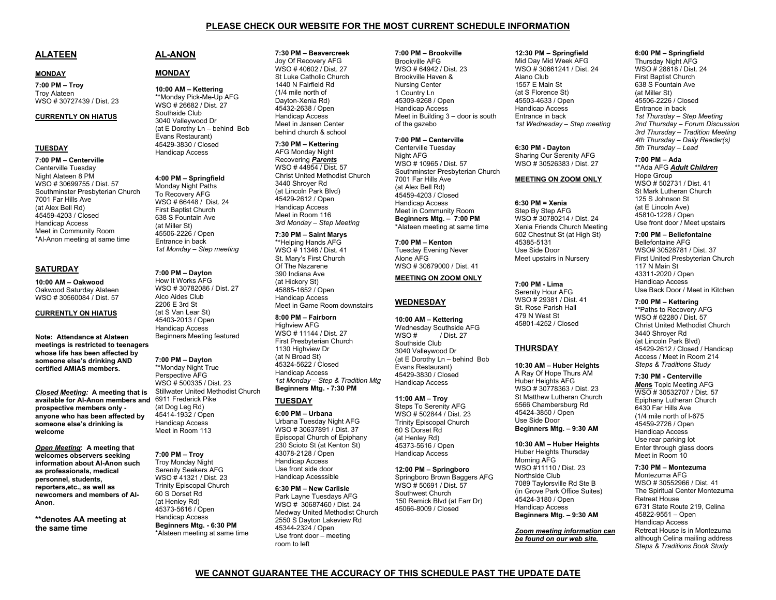## **PLEASE CHECK OUR WEBSITE FOR THE MOST CURRENT SCHEDULE INFORMATION**

# **ALATEEN**

# **MONDAY**

**7:00 PM – Troy** Troy Alateen WSO # 30727439 / Dist. 23

#### **CURRENTLY ON HIATUS**

# **TUESDAY**

**7:00 PM – Centerville** Centerville Tuesday Night Alateen 8 PM WSO # 30699755 / Dist. 57 Southminster Presbyterian Church 7001 Far Hills Ave (at Alex Bell Rd) 45459-4203 / Closed Handicap Access Meet in Community Room \*Al-Anon meeting at same time

## **SATURDAY**

**10:00 AM – Oakwood** Oakwood Saturday Alateen WSO # 30560084 / Dist. 57

## **CURRENTLY ON HIATUS**

**Note: Attendance at Alateen meetings is restricted to teenagers whose life has been affected by someone else's drinking AND certified AMIAS members.** 

*Closed Meeting:* **A meeting that is available for Al-Anon members and prospective members only anyone who has been affected by someone else's drinking is welcome**

*Open Meeting***: A meeting that welcomes observers seeking information about Al-Anon such as professionals, medical personnel, students, reporters,etc., as well as newcomers and members of Al-Anon**.

**\*\*denotes AA meeting at the same time**

## **AL-ANON**

# **MONDAY**

# **10:00 AM – Kettering**

\*\*Monday Pick-Me-Up AFG WSO # 26682 / Dist. 27 Southside Club 3040 Valleywood Dr (at E Dorothy Ln – behind Bob Evans Restaurant) 45429-3830 / Closed Handicap Access

#### **4:00 PM – Springfield**

Monday Night Paths To Recovery AFG WSO # 66448 / Dist. 24 First Baptist Church 638 S Fountain Ave (at Miller St) 45506-2226 / Open Entrance in back *1st Monday – Step meeting*

#### **7:00 PM – Dayton** How It Works AFG

WSO # 30782086 / Dist. 27 Alco Aides Club 2206 E 3rd St (at S Van Lear St) 45403-2013 / Open Handicap Access Beginners Meeting featured

**7:00 PM – Dayton** \*\*Monday Night True Perspective AFG WSO # 500335 / Dist. 23 Stillwater United Methodist Church 6911 Frederick Pike (at Dog Leg Rd) 45414-1932 / Open Handicap Access Meet in Room 113

**7:00 PM – Troy**  Troy Monday Night Serenity Seekers AFG WSO # 41321 / Dist. 23 Trinity Episcopal Church 60 S Dorset Rd (at Henley Rd) 45373-5616 / Open Handicap Access **Beginners Mtg. - 6:30 PM** \*Alateen meeting at same time

#### **7:30 PM – Beavercreek**

Joy Of Recovery AFG WSO # 40602 / Dist. 27 St Luke Catholic Church 1440 N Fairfield Rd (1/4 mile north of Dayton-Xenia Rd) 45432-2638 / Open Handicap Access Meet in Jansen Center behind church & school

**7:30 PM – Kettering**

AFG Monday Night Recovering *Parents* WSO # 44954 / Dist. 57 Christ United Methodist Church 3440 Shroyer Rd (at Lincoln Park Blvd) 45429-2612 / Open Handicap Access Meet in Room 116 *3rd Monday – Step Meeting*

**7:30 PM – Saint Marys**  \*\*Helping Hands AFG WSO # 11346 / Dist. 41 St. Mary's First Church Of The Nazarene 390 Indiana Ave (at Hickory St) 45885-1652 / Open Handicap Access Meet in Game Room downstairs

## **8:00 PM – Fairborn**

Highview AFG WSO # 11144 / Dist. 27 First Presbyterian Church 1130 Highview Dr (at N Broad St) 45324-5622 / Closed Handicap Access *1st Monday – Step & Tradition Mtg* **Beginners Mtg. - 7:30 PM**

# **TUESDAY**

**6:00 PM – Urbana** Urbana Tuesday Night AFG WSO # 30637891 / Dist. 37 Episcopal Church of Epiphany 230 Scioto St (at Kenton St) 43078-2128 / Open Handicap Access Use front side door Handicap Acesssible

#### **6:30 PM – New Carlisle**

Park Layne Tuesdays AFG WSO # 30687460 / Dist. 24 Medway United Methodist Church 2550 S Dayton Lakeview Rd 45344-2324 / Open Use front door – meeting room to left

#### **7:00 PM – Brookville** Brookville AFG

WSO # 64942 / Dist. 23 Brookville Haven & Nursing Center 1 Country Ln 45309-9268 / Open Handicap Access Meet in Building 3 – door is south of the gazebo

## **7:00 PM – Centerville**

Centerville Tuesday Night AFG WSO # 10965 / Dist. 57 Southminster Presbyterian Church 7001 Far Hills Ave (at Alex Bell Rd) 45459-4203 / Closed Handicap Access Meet in Community Room **Beginners Mtg. – 7:00 PM** \*Alateen meeting at same time

**7:00 PM – Kenton** Tuesday Evening Never Alone AFG WSO # 30679000 / Dist. 41

# **MEETING ON ZOOM ONLY**

# **WEDNESDAY**

**10:00 AM – Kettering** Wednesday Southside AFG<br>WSO # / Dist. 27 / Dist. 27 Southside Club 3040 Valleywood Dr (at E Dorothy Ln – behind Bob Evans Restaurant) 45429-3830 / Closed Handicap Access

## **11:00 AM – Troy**

Steps To Serenity AFG WSO # 502844 / Dist. 23 Trinity Episcopal Church 60 S Dorset Rd (at Henley Rd) 45373-5616 / Open Handicap Access

#### **12:00 PM – Springboro**

Springboro Brown Baggers AFG WSO # 50691 / Dist. 57 Southwest Church 150 Remick Blvd (at Farr Dr) 45066-8009 / Closed

## **12:30 PM – Springfield**

Mid Day Mid Week AFG WSO # 30661241 / Dist. 24 Alano Club 1557 E Main St (at S Florence St) 45503-4633 / Open Handicap Access Entrance in back *1st Wednesday – Step meeting*

**6:30 PM - Dayton** Sharing Our Serenity AFG WSO # 30526383 / Dist. 27

#### **MEETING ON ZOOM ONLY**

**6:30 PM = Xenia** Step By Step AFG WSO # 30780214 / Dist. 24 Xenia Friends Church Meeting 502 Chestnut St (at High St) 45385-5131 Use Side Door Meet upstairs in Nursery

## **7:00 PM - Lima**

Serenity Hour AFG WSO # 29381 / Dist. 41 St. Rose Parish Hall 479 N West St 45801-4252 / Closed

# **THURSDAY**

**10:30 AM – Huber Heights** A Ray Of Hope Thurs AM Huber Heights AFG WSO # 30778363 / Dist. 23 St Matthew Lutheran Church 5566 Chambersburg Rd 45424-3850 / Open Use Side Door **Beginners Mtg. – 9:30 AM**

**10:30 AM – Huber Heights** Huber Heights Thursday Morning AFG WSO #11110 / Dist. 23 Northside Club 7089 Taylorsville Rd Ste B (in Grove Park Office Suites) 45424-3180 / Open Handicap Access **Beginners Mtg. – 9:30 AM**

*Zoom meeting information can be found on our web site.*

#### **6:00 PM – Springfield**

Thursday Night AFG WSO # 28618 / Dist. 24 First Baptist Church 638 S Fountain Ave (at Miller St) 45506-2226 / Closed Entrance in back *1st Thursday – Step Meeting 2nd Thursday – Forum Discussion 3rd Thursday – Tradition Meeting 4th Thursday – Daily Reader(s) 5th Thursday – Lead*

#### **7:00 PM – Ada**

\*\*Ada AFG *Adult Children* Hope Group WSO # 502731 / Dist. 41 St Mark Lutheran Church 125 S Johnson St (at E Lincoln Ave) 45810-1228 / Open Use front door / Meet upstairs

#### **7:00 PM – Bellefontaine**

Bellefontaine AFG WSO# 30528781 / Dist. 37 First United Presbyterian Church 117 N Main St 43311-2020 / Open Handicap Access Use Back Door / Meet in Kitchen

#### **7:00 PM – Kettering**

\*\*Paths to Recovery AFG WSO # 62280 / Dist. 57 Christ United Methodist Church 3440 Shroyer Rd (at Lincoln Park Blvd) 45429-2612 / Closed / Handicap Access / Meet in Room 214 *Steps & Traditions Study*

## **7:30 PM - Centerville**

*Men***s** Topic Meeting AFG WSO # 30532707 / Dist. 57 Epiphany Lutheran Church 6430 Far Hills Ave (1/4 mile north of I-675 45459-2726 / Open Handicap Access Use rear parking lot Enter through glass doors Meet in Room 10

## **7:30 PM – Montezuma**

Montezuma AFG WSO # 30552966 / Dist. 41 The Spiritual Center Montezuma Retreat House 6731 State Route 219, Celina 45822-9551 – Open Handicap Access Retreat House is in Montezuma although Celina mailing address *Steps & Traditions Book Study*

# **WE CANNOT GUARANTEE THE ACCURACY OF THIS SCHEDULE PAST THE UPDATE DATE**